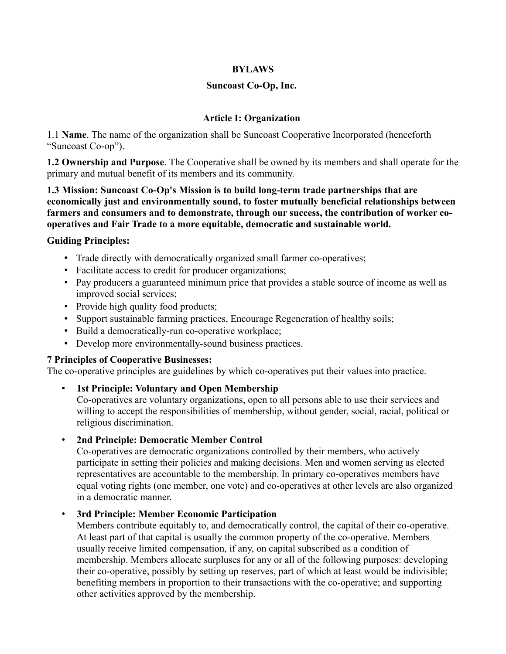### **BYLAWS**

### **Suncoast Co-Op, Inc.**

### **Article I: Organization**

1.1 **Name**. The name of the organization shall be Suncoast Cooperative Incorporated (henceforth "Suncoast Co-op").

**1.2 Ownership and Purpose**. The Cooperative shall be owned by its members and shall operate for the primary and mutual benefit of its members and its community.

**1.3 Mission: Suncoast Co-Op's Mission is to build long-term trade partnerships that are economically just and environmentally sound, to foster mutually beneficial relationships between farmers and consumers and to demonstrate, through our success, the contribution of worker cooperatives and Fair Trade to a more equitable, democratic and sustainable world.** 

### **Guiding Principles:**

- Trade directly with democratically organized small farmer co-operatives;
- Facilitate access to credit for producer organizations;
- Pay producers a guaranteed minimum price that provides a stable source of income as well as improved social services;
- Provide high quality food products;
- Support sustainable farming practices, Encourage Regeneration of healthy soils;
- Build a democratically-run co-operative workplace;
- Develop more environmentally-sound business practices.

### **7 Principles of Cooperative Businesses:**

The co-operative principles are guidelines by which co-operatives put their values into practice.

• **1st Principle: Voluntary and Open Membership**

Co-operatives are voluntary organizations, open to all persons able to use their services and willing to accept the responsibilities of membership, without gender, social, racial, political or religious discrimination.

#### • **2nd Principle: Democratic Member Control**

Co-operatives are democratic organizations controlled by their members, who actively participate in setting their policies and making decisions. Men and women serving as elected representatives are accountable to the membership. In primary co-operatives members have equal voting rights (one member, one vote) and co-operatives at other levels are also organized in a democratic manner.

### • **3rd Principle: Member Economic Participation**

Members contribute equitably to, and democratically control, the capital of their co-operative. At least part of that capital is usually the common property of the co-operative. Members usually receive limited compensation, if any, on capital subscribed as a condition of membership. Members allocate surpluses for any or all of the following purposes: developing their co-operative, possibly by setting up reserves, part of which at least would be indivisible; benefiting members in proportion to their transactions with the co-operative; and supporting other activities approved by the membership.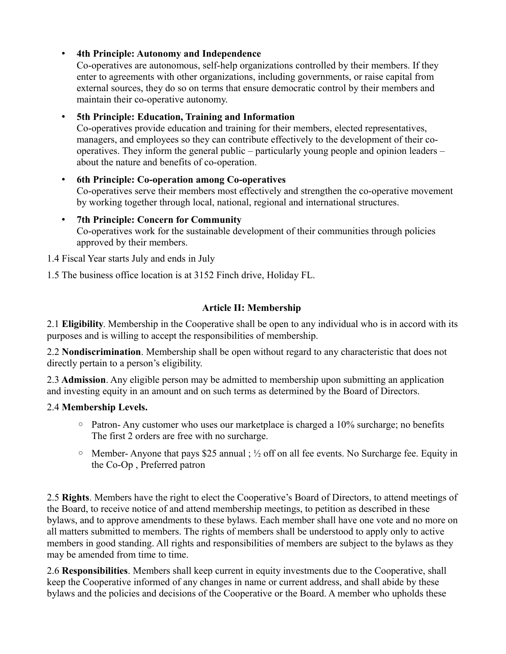# • **4th Principle: Autonomy and Independence**

Co-operatives are autonomous, self-help organizations controlled by their members. If they enter to agreements with other organizations, including governments, or raise capital from external sources, they do so on terms that ensure democratic control by their members and maintain their co-operative autonomy.

# • **5th Principle: Education, Training and Information**

Co-operatives provide education and training for their members, elected representatives, managers, and employees so they can contribute effectively to the development of their cooperatives. They inform the general public – particularly young people and opinion leaders – about the nature and benefits of co-operation.

### • **6th Principle: Co-operation among Co-operatives** Co-operatives serve their members most effectively and strengthen the co-operative movement by working together through local, national, regional and international structures.

### • **7th Principle: Concern for Community** Co-operatives work for the sustainable development of their communities through policies approved by their members.

1.4 Fiscal Year starts July and ends in July

1.5 The business office location is at 3152 Finch drive, Holiday FL.

# **Article II: Membership**

2.1 **Eligibility**. Membership in the Cooperative shall be open to any individual who is in accord with its purposes and is willing to accept the responsibilities of membership.

2.2 **Nondiscrimination**. Membership shall be open without regard to any characteristic that does not directly pertain to a person's eligibility.

2.3 **Admission**. Any eligible person may be admitted to membership upon submitting an application and investing equity in an amount and on such terms as determined by the Board of Directors.

# 2.4 **Membership Levels.**

- Patron- Any customer who uses our marketplace is charged a 10% surcharge; no benefits The first 2 orders are free with no surcharge.
- Member- Anyone that pays \$25 annual ; ½ off on all fee events. No Surcharge fee. Equity in the Co-Op , Preferred patron

2.5 **Rights**. Members have the right to elect the Cooperative's Board of Directors, to attend meetings of the Board, to receive notice of and attend membership meetings, to petition as described in these bylaws, and to approve amendments to these bylaws. Each member shall have one vote and no more on all matters submitted to members. The rights of members shall be understood to apply only to active members in good standing. All rights and responsibilities of members are subject to the bylaws as they may be amended from time to time.

2.6 **Responsibilities**. Members shall keep current in equity investments due to the Cooperative, shall keep the Cooperative informed of any changes in name or current address, and shall abide by these bylaws and the policies and decisions of the Cooperative or the Board. A member who upholds these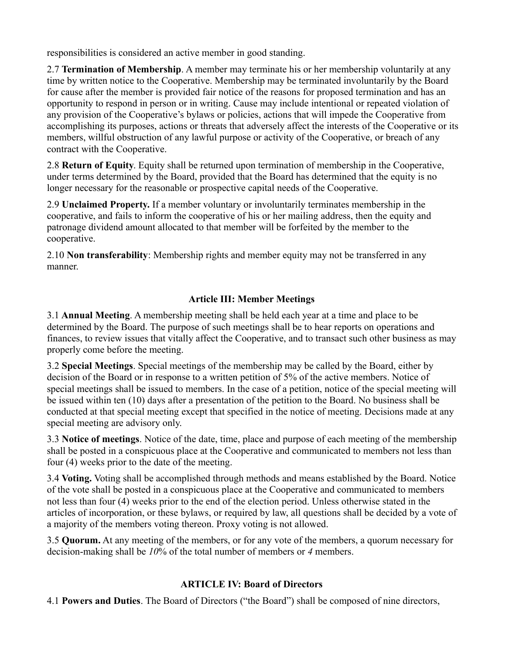responsibilities is considered an active member in good standing.

2.7 **Termination of Membership**. A member may terminate his or her membership voluntarily at any time by written notice to the Cooperative. Membership may be terminated involuntarily by the Board for cause after the member is provided fair notice of the reasons for proposed termination and has an opportunity to respond in person or in writing. Cause may include intentional or repeated violation of any provision of the Cooperative's bylaws or policies, actions that will impede the Cooperative from accomplishing its purposes, actions or threats that adversely affect the interests of the Cooperative or its members, willful obstruction of any lawful purpose or activity of the Cooperative, or breach of any contract with the Cooperative.

2.8 **Return of Equity**. Equity shall be returned upon termination of membership in the Cooperative, under terms determined by the Board, provided that the Board has determined that the equity is no longer necessary for the reasonable or prospective capital needs of the Cooperative.

2.9 **Unclaimed Property.** If a member voluntary or involuntarily terminates membership in the cooperative, and fails to inform the cooperative of his or her mailing address, then the equity and patronage dividend amount allocated to that member will be forfeited by the member to the cooperative.

2.10 **Non transferability**: Membership rights and member equity may not be transferred in any manner.

# **Article III: Member Meetings**

3.1 **Annual Meeting**. A membership meeting shall be held each year at a time and place to be determined by the Board. The purpose of such meetings shall be to hear reports on operations and finances, to review issues that vitally affect the Cooperative, and to transact such other business as may properly come before the meeting.

3.2 **Special Meetings**. Special meetings of the membership may be called by the Board, either by decision of the Board or in response to a written petition of 5% of the active members. Notice of special meetings shall be issued to members. In the case of a petition, notice of the special meeting will be issued within ten (10) days after a presentation of the petition to the Board. No business shall be conducted at that special meeting except that specified in the notice of meeting. Decisions made at any special meeting are advisory only.

3.3 **Notice of meetings**. Notice of the date, time, place and purpose of each meeting of the membership shall be posted in a conspicuous place at the Cooperative and communicated to members not less than four (4) weeks prior to the date of the meeting.

3.4 **Voting.** Voting shall be accomplished through methods and means established by the Board. Notice of the vote shall be posted in a conspicuous place at the Cooperative and communicated to members not less than four (4) weeks prior to the end of the election period. Unless otherwise stated in the articles of incorporation, or these bylaws, or required by law, all questions shall be decided by a vote of a majority of the members voting thereon. Proxy voting is not allowed.

3.5 **Quorum.** At any meeting of the members, or for any vote of the members, a quorum necessary for decision-making shall be *10*% of the total number of members or *4* members.

# **ARTICLE IV: Board of Directors**

4.1 **Powers and Duties**. The Board of Directors ("the Board") shall be composed of nine directors,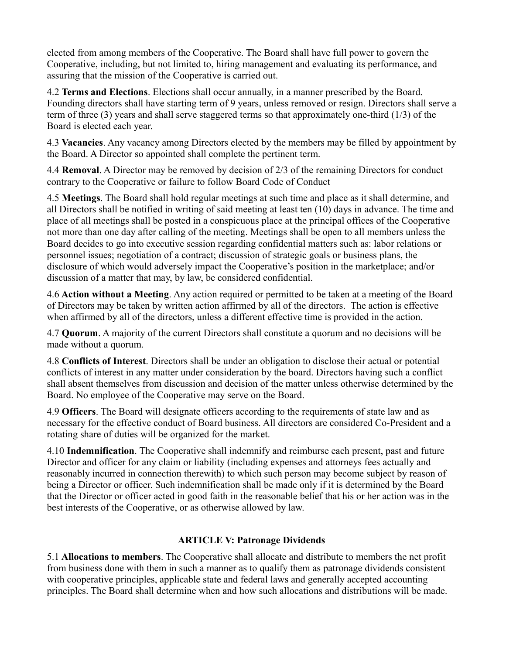elected from among members of the Cooperative. The Board shall have full power to govern the Cooperative, including, but not limited to, hiring management and evaluating its performance, and assuring that the mission of the Cooperative is carried out.

4.2 **Terms and Elections**. Elections shall occur annually, in a manner prescribed by the Board. Founding directors shall have starting term of 9 years, unless removed or resign. Directors shall serve a term of three (3) years and shall serve staggered terms so that approximately one-third (1/3) of the Board is elected each year.

4.3 **Vacancies**. Any vacancy among Directors elected by the members may be filled by appointment by the Board. A Director so appointed shall complete the pertinent term.

4.4 **Removal**. A Director may be removed by decision of 2/3 of the remaining Directors for conduct contrary to the Cooperative or failure to follow Board Code of Conduct

4.5 **Meetings**. The Board shall hold regular meetings at such time and place as it shall determine, and all Directors shall be notified in writing of said meeting at least ten (10) days in advance. The time and place of all meetings shall be posted in a conspicuous place at the principal offices of the Cooperative not more than one day after calling of the meeting. Meetings shall be open to all members unless the Board decides to go into executive session regarding confidential matters such as: labor relations or personnel issues; negotiation of a contract; discussion of strategic goals or business plans, the disclosure of which would adversely impact the Cooperative's position in the marketplace; and/or discussion of a matter that may, by law, be considered confidential.

4.6 **Action without a Meeting**. Any action required or permitted to be taken at a meeting of the Board of Directors may be taken by written action affirmed by all of the directors. The action is effective when affirmed by all of the directors, unless a different effective time is provided in the action.

4.7 **Quorum**. A majority of the current Directors shall constitute a quorum and no decisions will be made without a quorum.

4.8 **Conflicts of Interest**. Directors shall be under an obligation to disclose their actual or potential conflicts of interest in any matter under consideration by the board. Directors having such a conflict shall absent themselves from discussion and decision of the matter unless otherwise determined by the Board. No employee of the Cooperative may serve on the Board.

4.9 **Officers**. The Board will designate officers according to the requirements of state law and as necessary for the effective conduct of Board business. All directors are considered Co-President and a rotating share of duties will be organized for the market.

4.10 **Indemnification**. The Cooperative shall indemnify and reimburse each present, past and future Director and officer for any claim or liability (including expenses and attorneys fees actually and reasonably incurred in connection therewith) to which such person may become subject by reason of being a Director or officer. Such indemnification shall be made only if it is determined by the Board that the Director or officer acted in good faith in the reasonable belief that his or her action was in the best interests of the Cooperative, or as otherwise allowed by law.

# **ARTICLE V: Patronage Dividends**

5.1 **Allocations to members**. The Cooperative shall allocate and distribute to members the net profit from business done with them in such a manner as to qualify them as patronage dividends consistent with cooperative principles, applicable state and federal laws and generally accepted accounting principles. The Board shall determine when and how such allocations and distributions will be made.